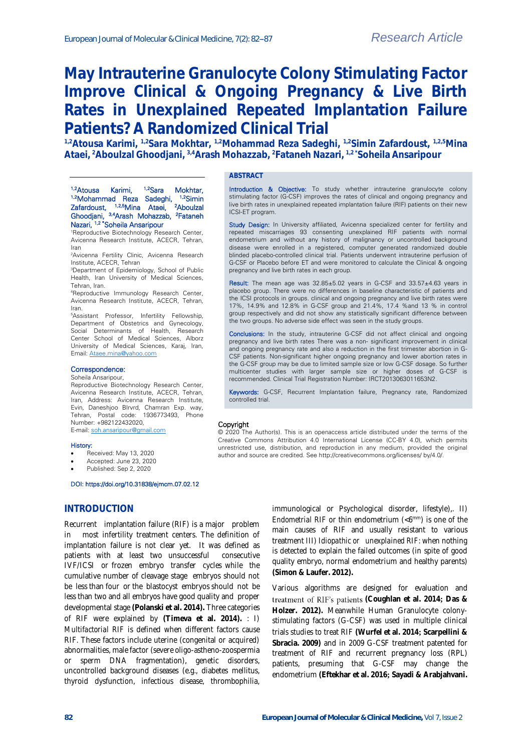# **May Intrauterine Granulocyte Colony Stimulating Factor Improve Clinical & Ongoing Pregnancy & Live Birth Rates in Unexplained Repeated Implantation Failure Patients? A Randomized Clinical Trial**

**1,2Atousa Karimi, 1,2Sara Mokhtar, 1,2Mohammad Reza Sadeghi, 1,2Simin Zafardoust, 1,2,5Mina Ataei, <sup>2</sup>Aboulzal Ghoodjani, 3,4Arash Mohazzab, <sup>2</sup>Fataneh Nazari, 1,2 \*Soheila Ansaripour**

# **ABSTRACT** <sup>1,2</sup>Atousa Karimi, <sup>1,2</sup>Sara Mokhtar,

Introduction & Objective: To study whether intrauterine granulocyte colony stimulating factor (G-CSF) improves the rates of clinical and ongoing pregnancy and live birth rates in unexplained repeated implantation failure (RIF) patients on their new ICSI-ET program.

Study Design: In University affiliated, Avicenna specialized center for fertility and repeated miscarriages 93 consenting unexplained RIF patients with normal endometrium and without any history of malignancy or uncontrolled background disease were enrolled in a registered, computer generated randomized double blinded placebo-controlled clinical trial. Patients underwent intrauterine perfusion of G-CSF or Placebo before ET and were monitored to calculate the Clinical & ongoing pregnancy and live birth rates in each group.

Result: The mean age was 32.85±5.02 years in G-CSF and 33.57±4.63 years in placebo group. There were no differences in baseline characteristic of patients and the ICSI protocols in groups. clinical and ongoing pregnancy and live birth rates were 17%, 14.9% and 12.8% in G-CSF group and 21.4%, 17.4 %and 13 % in control group respectively and did not show any statistically significant difference between the two groups. No adverse side effect was seen in the study groups.

Conclusions: In the study, intrauterine G-CSF did not affect clinical and ongoing pregnancy and live birth rates There was a non- significant improvement in clinical and ongoing pregnancy rate and also a reduction in the first trimester abortion in G-CSF patients. Non-significant higher ongoing pregnancy and lower abortion rates in the G-CSF group may be due to limited sample size or low G-CSF dosage. So further multicenter studies with larger sample size or higher doses of G-CSF is recommended. Clinical Trial Registration Number: IRCT2013063011653N2.

Keywords: G-CSF, Recurrent Implantation failure, Pregnancy rate, Randomized controlled trial.

#### Copyright

© 2020 The Author(s). This is an openaccess article distributed under the terms of the Creative Commons Attribution 4.0 International License (CC-BY 4.0), which permits unrestricted use, distribution, and reproduction in any medium, provided the original author and source are credited. See http://creativecommons.org/licenses/ by/4.0/.

<sup>1,2</sup>Mohammad Reza Sadeghi, <sup>1,2</sup>Simin<br>Zafardoust, <sup>1,2,5</sup>Mina Ataei, <sup>2</sup>Aboulzal Zafardoust, 1,2,5Mina Ataei, <sup>2</sup>Aboulzal Ghoodjani, 3,4Arash Mohazzab, <sup>2</sup>Fataneh Nazari, <sup>1,2 \*</sup>Soheila Ansaripour <sup>1</sup>Reproductive Biotechnology Research Center,

Avicenna Research Institute, ACECR, Tehran, Iran

<sup>2</sup>Avicenna Fertility Clinic, Avicenna Research Institute, ACECR, Tehran

<sup>3</sup>Department of Epidemiology, School of Public Health, Iran University of Medical Sciences, Tehran, Iran.

<sup>4</sup>Reproductive Immunology Research Center, Avicenna Research Institute, ACECR, Tehran, Iran.

<sup>5</sup>Assistant Professor, Infertility Fellowship, Department of Obstetrics and Gynecology, Social Determinants of Health, Research Center School of Medical Sciences, Alborz University of Medical Sciences, Karaj, Iran, Email[: Ataee.mina@yahoo.com](mailto:Ataee.mina@yahoo.com)

#### Correspondence:

Soheila Ansaripour,

Reproductive Biotechnology Research Center, Avicenna Research Institute, ACECR, Tehran, Iran, Address: Avicenna Research Institute, Evin, Daneshjoo Blrvrd, Chamran Exp. way, Tehran, Postal code: 1936773493, Phone Number: +982122432020, E-mail: [soh.ansaripour@gmail.com](mailto:soh.ansaripour@gmail.com)

History:

- Received: May 13, 2020
- Accepted: June 23, 2020
- Published: Sep 2, 2020

#### DOI: https://doi.org/10.31838/ejmcm.07.02.12

#### **INTRODUCTION**

Recurrent implantation failure (RIF) is a major problem in most infertility treatment centers. The definition of implantation failure is not clear yet. It was defined as patients with at least two unsuccessful consecutive IVF/ICSI or frozen embryo transfer cycles while the cumulative number of cleavage stage embryos should not be less than four or the blastocyst embryos should not be less than two and all embryos have good quality and proper developmental stage **(Polanski et al. 2014).** Three categories of RIF were explained by **(Timeva et al. 2014).** : I) *Multifactorial RIF* is defined when different factors cause RIF. These factors include uterine (congenital or acquired) abnormalities, male factor (severe oligo-astheno-zoospermia or sperm DNA fragmentation), genetic disorders, uncontrolled background diseases (e.g., diabetes mellitus, thyroid dysfunction, infectious disease, thrombophilia,

immunological or Psychological disorder, lifestyle),. *II) Endometrial RIF* or thin endometrium (<6mm) is one of the main causes of RIF and usually resistant to various treatment *III) Idiopathic or unexplained RIF*: when nothing is detected to explain the failed outcomes (in spite of good quality embryo, normal endometrium and healthy parents) **(Simon & Laufer. 2012).**

Various algorithms are designed for evaluation and **(Coughlan et al. 2014; Das & Holzer. 2012).** Meanwhile Human Granulocyte colonystimulating factors (G-CSF) was used in multiple clinical trials studies to treat RIF **(Wurfel et al. 2014; Scarpellini & Sbracia. 2009)** and in 2009 G-CSF treatment patented for treatment of RIF and recurrent pregnancy loss (RPL) patients, presuming that G-CSF may change the endometrium **(Eftekhar et al. 2016; Sayadi & Arabjahvani.**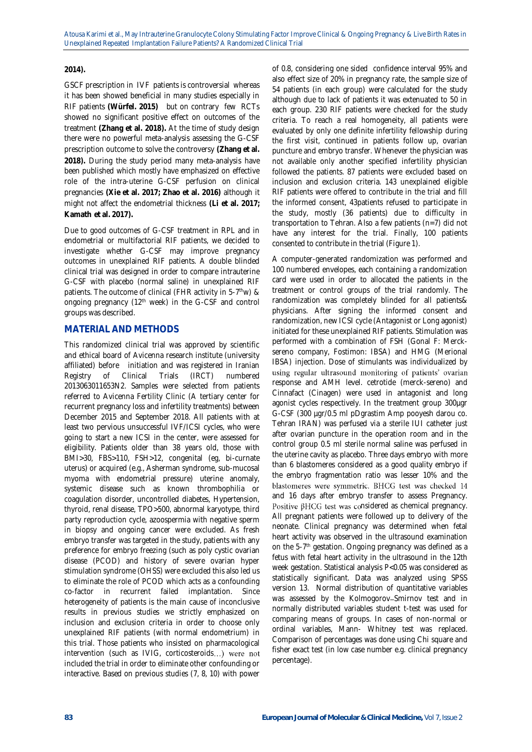### **2014).**

GSCF prescription in IVF patients is controversial whereas it has been showed beneficial in many studies especially in RIF patients **(Würfel. 2015)** but on contrary few RCTs showed no significant positive effect on outcomes of the treatment **(Zhang et al. 2018).** At the time of study design there were no powerful meta-analysis assessing the G-CSF prescription outcome to solve the controversy **(Zhang et al. 2018).** During the study period many meta-analysis have been published which mostly have emphasized on effective role of the intra-uterine G-CSF perfusion on clinical pregnancies **(Xie et al. 2017; Zhao et al. 2016)** although it might not affect the endometrial thickness **(Li et al. 2017; Kamath et al. 2017).** 

Due to good outcomes of G-CSF treatment in RPL and in endometrial or multifactorial RIF patients, we decided to investigate whether G-CSF may improve pregnancy outcomes in unexplained RIF patients. A double blinded clinical trial was designed in order to compare intrauterine G-CSF with placebo (normal saline) in unexplained RIF patients. The outcome of clinical (FHR activity in 5-7<sup>th</sup>w) & ongoing pregnancy (12<sup>th</sup> week) in the G-CSF and control groups was described.

## **MATERIAL AND METHODS**

This randomized clinical trial was approved by scientific and ethical board of Avicenna research institute (university affiliated) before initiation and was registered in Iranian Registry of Clinical Trials (IRCT) numbered 2013063011653N2. Samples were selected from patients referred to Avicenna Fertility Clinic (A tertiary center for recurrent pregnancy loss and infertility treatments) between December 2015 and September 2018. All patients with at least two pervious unsuccessful IVF/ICSI cycles, who were going to start a new ICSI in the center, were assessed for eligibility. Patients older than 38 years old, those with BMI>30, FBS>110, FSH>12, congenital (eg, bi-curnate uterus) or acquired (e.g., Asherman syndrome, sub-mucosal myoma with endometrial pressure) uterine anomaly, systemic disease such as known thrombophilia or coagulation disorder, uncontrolled diabetes, Hypertension, thyroid, renal disease, TPO>500, abnormal karyotype, third party reproduction cycle, azoospermia with negative sperm in biopsy and ongoing cancer were excluded. As fresh embryo transfer was targeted in the study, patients with any preference for embryo freezing (such as poly cystic ovarian disease (PCOD) and history of severe ovarian hyper stimulation syndrome (OHSS) were excluded this also led us to eliminate the role of PCOD which acts as a confounding co-factor in recurrent failed implantation. Since heterogeneity of patients is the main cause of inconclusive results in previous studies we strictly emphasized on inclusion and exclusion criteria in order to choose only unexplained RIF patients (with normal endometrium) in this trial. Those patients who insisted on pharmacological intervention (such as IVIG, corticosteroids...) were not included the trial in order to eliminate other confounding or interactive. Based on previous studies (7, 8, 10) with power

of 0.8, considering one sided confidence interval 95% and also effect size of 20% in pregnancy rate, the sample size of 54 patients (in each group) were calculated for the study although due to lack of patients it was extenuated to 50 in each group. 230 RIF patients were checked for the study criteria. To reach a real homogeneity, all patients were evaluated by only one definite infertility fellowship during the first visit, continued in patients follow up, ovarian puncture and embryo transfer. Whenever the physician was not available only another specified infertility physician followed the patients. 87 patients were excluded based on inclusion and exclusion criteria. 143 unexplained eligible RIF patients were offered to contribute in the trial and fill the informed consent, 43patients refused to participate in the study, mostly (36 patients) due to difficulty in transportation to Tehran. Also a few patients (n=7) did not have any interest for the trial. Finally, 100 patients consented to contribute in the trial (Figure 1).

A computer-generated randomization was performed and 100 numbered envelopes, each containing a randomization card were used in order to allocated the patients in the treatment or control groups of the trial randomly. The randomization was completely blinded for all patients& physicians. After signing the informed consent and randomization, new ICSI cycle (Antagonist or Long agonist) initiated for these unexplained RIF patients. Stimulation was performed with a combination of FSH (Gonal F: Mercksereno company, Fostimon: IBSA) and HMG (Merional IBSA) injection. Dose of stimulants was individualized by using regular ultrasound monitoring of patients' ovarian response and AMH level. cetrotide (merck-sereno) and Cinnafact (Cinagen) were used in antagonist and long agonist cycles respectively. In the treatment group 300µgr G-CSF (300 µgr/0.5 ml pDgrastim Amp pooyesh darou co. Tehran IRAN) was perfused via a sterile IUI catheter just after ovarian puncture in the operation room and in the control group 0.5 ml sterile normal saline was perfused in the uterine cavity as placebo. Three days embryo with more than 6 blastomeres considered as a good quality embryo if the embryo fragmentation ratio was lesser 10% and the blastomeres were symmetric. BHCG test was checked 14 and 16 days after embryo transfer to assess Pregnancy. Positive  $\beta$ HCG test was considered as chemical pregnancy. All pregnant patients were followed up to delivery of the neonate. Clinical pregnancy was determined when fetal heart activity was observed in the ultrasound examination on the 5-7 th gestation. Ongoing pregnancy was defined as a fetus with fetal heart activity in the ultrasound in the 12th week gestation. Statistical analysis P<0.05 was considered as statistically significant. Data was analyzed using SPSS version 13. Normal distribution of quantitative variables was assessed by the Kolmogorov-Smirnov test and in normally distributed variables student t-test was used for comparing means of groups. In cases of non-normal or ordinal variables, Mann- Whitney test was replaced. Comparison of percentages was done using Chi square and fisher exact test (in low case number e.g. clinical pregnancy percentage).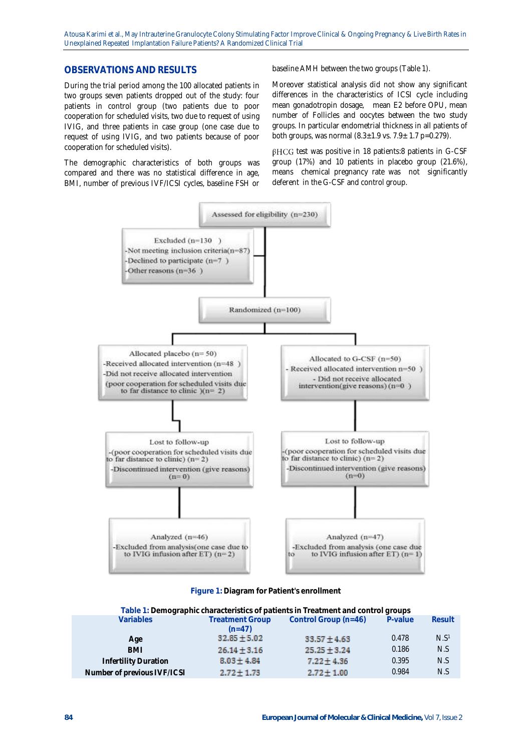Atousa Karimi et al., May Intrauterine Granulocyte Colony Stimulating Factor Improve Clinical & Ongoing Pregnancy & Live Birth Rates in Unexplained Repeated Implantation Failure Patients? A Randomized Clinical Trial

#### **OBSERVATIONS AND RESULTS**

During the trial period among the 100 allocated patients in two groups seven patients dropped out of the study: four patients in control group (two patients due to poor cooperation for scheduled visits, two due to request of using IVIG, and three patients in case group (one case due to request of using IVIG, and two patients because of poor cooperation for scheduled visits).

The demographic characteristics of both groups was compared and there was no statistical difference in age, BMI, number of previous IVF/ICSI cycles, baseline FSH or baseline AMH between the two groups (Table 1).

Moreover statistical analysis did not show any significant differences in the characteristics of ICSI cycle including mean gonadotropin dosage, mean E2 before OPU, mean number of Follicles and oocytes between the two study groups. In particular endometrial thickness in all patients of both groups, was normal  $(8.3 \pm 1.9 \text{ vs. } 7.9 \pm 1.7 \text{ p} = 0.279)$ .

 $\beta$ HCG test was positive in 18 patients:8 patients in G-CSF group (17%) and 10 patients in placebo group (21.6%), means chemical pregnancy rate was not significantly deferent in the G-CSF and control group.



**Figure 1: Diagram for Patient's enrollment**

| Table 1: Demographic characteristics of patients in Treatment and control groups |                                                  |                                      |                  |  |  |
|----------------------------------------------------------------------------------|--------------------------------------------------|--------------------------------------|------------------|--|--|
| <b>Treatment Group</b>                                                           | Control Group (n=46)                             | P-value                              | Result           |  |  |
|                                                                                  |                                                  |                                      | N.S <sup>1</sup> |  |  |
|                                                                                  |                                                  | 0.186                                | N.S              |  |  |
| $8.03 \pm 4.84$                                                                  | $7.22 \pm 4.36$                                  | 0.395                                | N.S              |  |  |
| $2.72 \pm 1.73$                                                                  | $2.72 \pm 1.00$                                  | 0.984                                | N.S              |  |  |
|                                                                                  | $(n=47)$<br>$32.85 \pm 5.02$<br>$26.14 \pm 3.16$ | $33.57 \pm 4.63$<br>$25.25 \pm 3.24$ | 0.478            |  |  |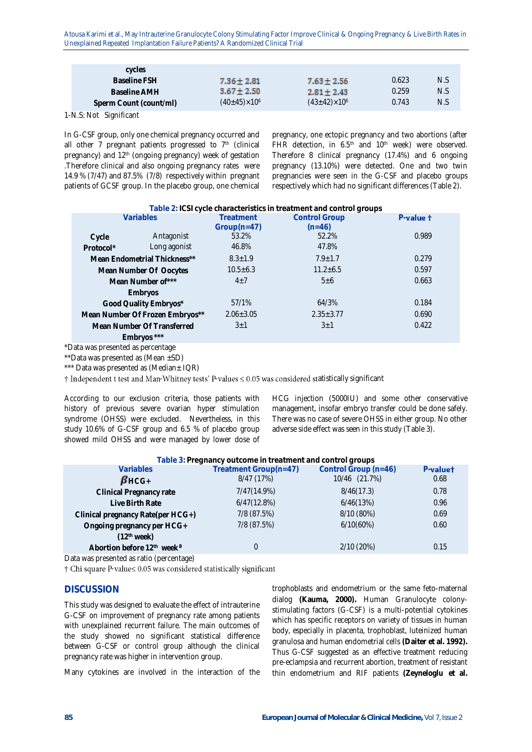Atousa Karimi et al., May Intrauterine Granulocyte Colony Stimulating Factor Improve Clinical & Ongoing Pregnancy & Live Birth Rates in Unexplained Repeated Implantation Failure Patients? A Randomized Clinical Trial

| cycles                 |                         |                         |       |     |
|------------------------|-------------------------|-------------------------|-------|-----|
| Baseline FSH           | $7.36 \pm 2.81$         | $7.63 \pm 2.56$         | 0.623 | N.S |
| Baseline AMH           | $3.67 \pm 2.50$         | $2.81 \pm 2.43$         | 0.259 | N.S |
| Sperm Count (count/ml) | $(40\pm 45)\times 10^6$ | $(43\pm42)\times10^{6}$ | 0.743 | N.S |
|                        |                         |                         |       |     |

1-N.S: Not Significant

In G-CSF group, only one chemical pregnancy occurred and all other 7 pregnant patients progressed to  $7<sup>th</sup>$  (clinical pregnancy) and 12<sup>th</sup> (ongoing pregnancy) week of gestation .Therefore clinical and also ongoing pregnancy rates were 14.9 % (7/47) and 87.5% (7/8) respectively within pregnant patients of GCSF group. In the placebo group, one chemical

pregnancy, one ectopic pregnancy and two abortions (after FHR detection, in 6.5<sup>th</sup> and 10<sup>th</sup> week) were observed. Therefore 8 clinical pregnancy (17.4%) and 6 ongoing pregnancy (13.10%) were detected. One and two twin pregnancies were seen in the G-CSF and placebo groups respectively which had no significant differences (Table 2).

| Table 2: ICSI cycle characteristics in treatment and control groups |                                 |                |                      |                |
|---------------------------------------------------------------------|---------------------------------|----------------|----------------------|----------------|
|                                                                     | Variables                       | Treatment      | <b>Control Group</b> | $P$ -value $t$ |
|                                                                     |                                 | $Group(n=47)$  | $(n=46)$             |                |
| Cycle                                                               | Antagonist                      | 53.2%          | 52.2%                | 0.989          |
| Protocol*                                                           | Long agonist                    | 46.8%          | 47.8%                |                |
|                                                                     | Mean Endometrial Thickness**    | $8.3 \pm 1.9$  | $7.9 + 1.7$          | 0.279          |
|                                                                     | Mean Number Of Oocytes          | $10.5 \pm 6.3$ | $11.2 + 6.5$         | 0.597          |
|                                                                     | Mean Number of***               | $4 + 7$        | $5 + 6$              | 0.663          |
|                                                                     | Embryos                         |                |                      |                |
|                                                                     | Good Quality Embryos*           | 57/1%          | 64/3%                | 0.184          |
|                                                                     | Mean Number Of Frozen Embryos** | $2.06 + 3.05$  | $2.35 \pm 3.77$      | 0.690          |
|                                                                     | Mean Number Of Transferred      | $3\pm1$        | $3+1$                | 0.422          |
|                                                                     | Embryos ***                     |                |                      |                |

\*Data was presented as percentage

\*\*Data was presented as (Mean  $\pm$ SD)

\*\*\* Data was presented as (Median± IQR)

 $\dagger$  Independent t test and Man-Whitney tests' P-values  $\leq 0.05$  was considered statistically significant

According to our exclusion criteria, those patients with history of previous severe ovarian hyper stimulation syndrome (OHSS) were excluded. Nevertheless, in this study 10.6% of G-CSF group and 6.5 % of placebo group showed mild OHSS and were managed by lower dose of

HCG injection (5000IU) and some other conservative management, insofar embryo transfer could be done safely. There was no case of severe OHSS in either group. No other adverse side effect was seen in this study (Table 3).

| Table 3: Pregnancy outcome in treatment and control groups |                       |                      |          |  |
|------------------------------------------------------------|-----------------------|----------------------|----------|--|
| Variables                                                  | Treatment Group(n=47) | Control Group (n=46) | P-valuet |  |
| $\beta$ HCG+                                               | 8/47 (17%)            | 10/46 (21.7%)        | 0.68     |  |
| Clinical Pregnancy rate                                    | 7/47(14.9%)           | 8/46(17.3)           | 0.78     |  |
| Live Birth Rate                                            | 6/47(12.8%)           | 6/46(13%)            | 0.96     |  |
| Clinical pregnancy Rate(per HCG+)                          | 7/8 (87.5%)           | 8/10 (80%)           | 0.69     |  |
| Ongoing pregnancy per HCG+                                 | 7/8 (87.5%)           | 6/10(60%)            | 0.60     |  |
| (12 <sup>th</sup> week)                                    |                       |                      |          |  |
| Abortion before 12 <sup>th</sup> week <sup>B</sup>         | $\Omega$              | 2/10(20%)            | 0.15     |  |
| .                                                          |                       |                      |          |  |

Data was presented as ratio (percentage)

† Chi square P-value≤ 0.05 was considered statistically significant

#### **DISCUSSION**

This study was designed to evaluate the effect of intrauterine G-CSF on improvement of pregnancy rate among patients with unexplained recurrent failure. The main outcomes of the study showed no significant statistical difference between G-CSF or control group although the clinical pregnancy rate was higher in intervention group.

Many cytokines are involved in the interaction of the

trophoblasts and endometrium or the same feto-maternal dialog **(Kauma, 2000).** Human Granulocyte colonystimulating factors (G-CSF) is a multi-potential cytokines which has specific receptors on variety of tissues in human body, especially in placenta, trophoblast, luteinized human granulosa and human endometrial cells **(Daiter et al. 1992).** Thus G-CSF suggested as an effective treatment reducing pre-eclampsia and recurrent abortion, treatment of resistant thin endometrium and RIF patients **(Zeyneloglu et al.**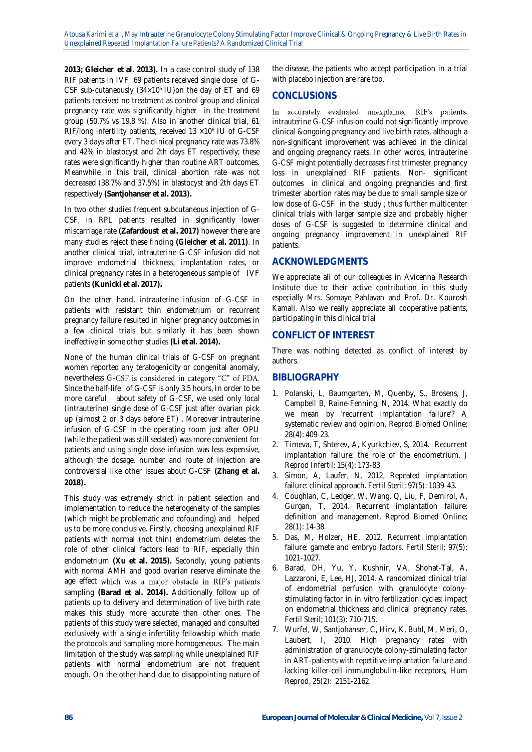**2013; Gleicher et al. 2013).** In a case control study of 138 RIF patients in IVF 69 patients received single dose of G-CSF sub-cutaneously  $(34\times10^{6} \text{ IU})$ on the day of ET and 69 patients received no treatment as control group and clinical pregnancy rate was significantly higher in the treatment group (50.7% vs 19.8 %). Also in another clinical trial, 61 RIF/long infertility patients, received 13 ×10<sup>6</sup> IU of G-CSF every 3 days after ET. The clinical pregnancy rate was 73.8% and 42% in blastocyst and 2th days ET respectively; these rates were significantly higher than routine ART outcomes. Meanwhile in this trail, clinical abortion rate was not decreased (38.7% and 37.5%) in blastocyst and 2th days ET respectively **(Santjohanser et al. 2013).**

In two other studies frequent subcutaneous injection of G-CSF, in RPL patients resulted in significantly lower miscarriage rate **(Zafardoust et al. 2017)** however there are many studies reject these finding **(Gleicher et al. 2011)**. In another clinical trial, intrauterine G-CSF infusion did not improve endometrial thickness, implantation rates, or clinical pregnancy rates in a heterogeneous sample of IVF patients **(Kunicki et al. 2017).**

On the other hand, intrauterine infusion of G-CSF in patients with resistant thin endometrium or recurrent pregnancy failure resulted in higher pregnancy outcomes in a few clinical trials but similarly it has been shown ineffective in some other studies **(Li et al. 2014).**

None of the human clinical trials of G-CSF on pregnant women reported any teratogenicity or congenital anomaly, nevertheless G-CSF is considered in category "C" of FDA. Since the half-life of G-CSF is only 3.5 hours, In order to be more careful about safety of G-CSF, we used only local (intrauterine) single dose of G-CSF just after ovarian pick up (almost 2 or 3 days before ET) . Moreover intrauterine infusion of G-CSF in the operating room just after OPU (while the patient was still sedated) was more convenient for patients and using single dose infusion was less expensive, although the dosage, number and route of injection are controversial like other issues about G-CSF **(Zhang et al. 2018)***.* 

This study was extremely strict in patient selection and implementation to reduce the heterogeneity of the samples (which might be problematic and cofounding) and helped us to be more conclusive. Firstly, choosing unexplained RIF patients with normal (not thin) endometrium deletes the role of other clinical factors lead to RIF, especially thin endometrium **(Xu et al. 2015).** Secondly, young patients with normal AMH and good ovarian reserve eliminate the age effect which was a major obstacle in RIF's patients sampling **(Barad et al. 2014).** Additionally follow up of patients up to delivery and determination of live birth rate makes this study more accurate than other ones. The patients of this study were selected, managed and consulted exclusively with a single infertility fellowship which made the protocols and sampling more homogeneous. The main limitation of the study was sampling while unexplained RIF patients with normal endometrium are not frequent enough. On the other hand due to disappointing nature of

the disease, the patients who accept participation in a trial with placebo injection are rare too.

# **CONCLUSIONS**

In accurately evaluated unexplained RIF's patients, intrauterine G-CSF infusion could not significantly improve clinical &ongoing pregnancy and live birth rates, although a non-significant improvement was achieved in the clinical and ongoing pregnancy raets. In other words, intrauterine G-CSF might potentially decreases first trimester pregnancy loss in unexplained RIF patients. Non- significant outcomes in clinical and ongoing pregnancies and first trimester abortion rates may be due to small sample size or low dose of G-CSF in the study ; thus further multicenter clinical trials with larger sample size and probably higher doses of G-CSF is suggested to determine clinical and ongoing pregnancy improvement in unexplained RIF patients.

## **ACKNOWLEDGMENTS**

We appreciate all of our colleagues in Avicenna Research Institute due to their active contribution in this study especially Mrs. Somaye Pahlavan and Prof. Dr. Kourosh Kamali. Also we really appreciate all cooperative patients, participating in this clinical trial

# **CONFLICT OF INTEREST**

There was nothing detected as conflict of interest by authors.

# **BIBLIOGRAPHY**

- 1. Polanski, L, Baumgarten, M, Quenby, S., Brosens, J, Campbell B, Raine-Fenning, N, 2014. What exactly do we mean by 'recurrent implantation failure'? A systematic review and opinion. Reprod Biomed Online; 28(4): 409-23.
- 2. Timeva, T, Shterev, A, Kyurkchiev, S, 2014. Recurrent implantation failure: the role of the endometrium. J Reprod Infertil; 15(4): 173-83.
- 3. Simon, A, Laufer, N, 2012, Repeated implantation failure: clinical approach. Fertil Steril; 97(5): 1039-43.
- 4. Coughlan, C, Ledger, W, Wang, Q, Liu, F, Demirol, A, Gurgan, T, 2014. Recurrent implantation failure: definition and management. Reprod Biomed Online; 28(1): 14-38.
- 5. Das, M, Holzer, HE, 2012. Recurrent implantation failure: gamete and embryo factors. Fertil Steril; 97(5): 1021-1027.
- 6. Barad, DH, Yu, Y, Kushnir, VA, Shohat-Tal, A, Lazzaroni, E, Lee, HJ, 2014. A randomized clinical trial of endometrial perfusion with granulocyte colonystimulating factor in in vitro fertilization cycles: impact on endometrial thickness and clinical pregnancy rates. Fertil Steril; 101(3): 710-715.
- 7. Wurfel, W, Santjohanser, C, Hirv, K, Buhl, M, Meri, O, Laubert, I, 2010. High pregnancy rates with administration of granulocyte colony-stimulating factor in ART-patients with repetitive implantation failure and lacking killer-cell immunglobulin-like receptors, Hum Reprod, 25(2): 2151-2162.